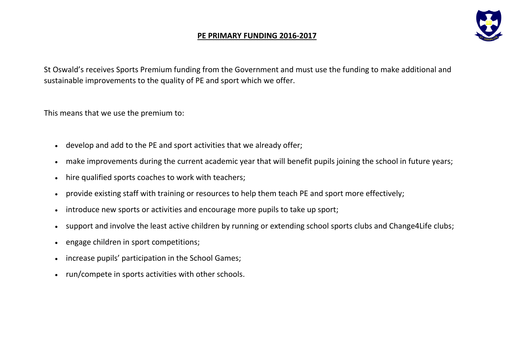## **PE PRIMARY FUNDING 2016-2017**



St Oswald's receives Sports Premium funding from the Government and must use the funding to make additional and sustainable improvements to the quality of PE and sport which we offer.

This means that we use the premium to:

- develop and add to the PE and sport activities that we already offer;
- make improvements during the current academic year that will benefit pupils joining the school in future years;
- hire qualified sports coaches to work with teachers;
- provide existing staff with training or resources to help them teach PE and sport more effectively;
- introduce new sports or activities and encourage more pupils to take up sport;
- support and involve the least active children by running or extending school sports clubs and Change4Life clubs;
- engage children in sport competitions;
- increase pupils' participation in the School Games;
- run/compete in sports activities with other schools.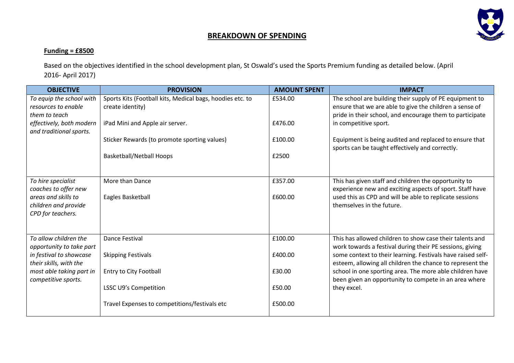

## **BREAKDOWN OF SPENDING**

## **Funding = £8500**

Based on the objectives identified in the school development plan, St Oswald's used the Sports Premium funding as detailed below. (April 2016- April 2017)

| <b>OBJECTIVE</b>                                                                                     | <b>PROVISION</b>                                                              | <b>AMOUNT SPENT</b> | <b>IMPACT</b>                                                                                                                                                                  |
|------------------------------------------------------------------------------------------------------|-------------------------------------------------------------------------------|---------------------|--------------------------------------------------------------------------------------------------------------------------------------------------------------------------------|
| To equip the school with<br>resources to enable<br>them to teach                                     | Sports Kits (Football kits, Medical bags, hoodies etc. to<br>create identity) | £534.00             | The school are building their supply of PE equipment to<br>ensure that we are able to give the children a sense of<br>pride in their school, and encourage them to participate |
| effectively, both modern<br>and traditional sports.                                                  | iPad Mini and Apple air server.                                               | £476.00             | in competitive sport.                                                                                                                                                          |
|                                                                                                      | Sticker Rewards (to promote sporting values)                                  | £100.00             | Equipment is being audited and replaced to ensure that<br>sports can be taught effectively and correctly.                                                                      |
|                                                                                                      | <b>Basketball/Netball Hoops</b>                                               | £2500               |                                                                                                                                                                                |
| To hire specialist<br>coaches to offer new                                                           | More than Dance                                                               | £357.00             | This has given staff and children the opportunity to<br>experience new and exciting aspects of sport. Staff have                                                               |
| areas and skills to<br>children and provide<br>CPD for teachers.                                     | Eagles Basketball                                                             | £600.00             | used this as CPD and will be able to replicate sessions<br>themselves in the future.                                                                                           |
| To allow children the<br>opportunity to take part                                                    | <b>Dance Festival</b>                                                         | £100.00             | This has allowed children to show case their talents and<br>work towards a festival during their PE sessions, giving                                                           |
| in festival to showcase<br>their skills, with the<br>most able taking part in<br>competitive sports. | <b>Skipping Festivals</b>                                                     | £400.00             | some context to their learning. Festivals have raised self-<br>esteem, allowing all children the chance to represent the                                                       |
|                                                                                                      | Entry to City Football                                                        | £30.00              | school in one sporting area. The more able children have<br>been given an opportunity to compete in an area where                                                              |
|                                                                                                      | LSSC U9's Competition                                                         | £50.00              | they excel.                                                                                                                                                                    |
|                                                                                                      | Travel Expenses to competitions/festivals etc                                 | £500.00             |                                                                                                                                                                                |